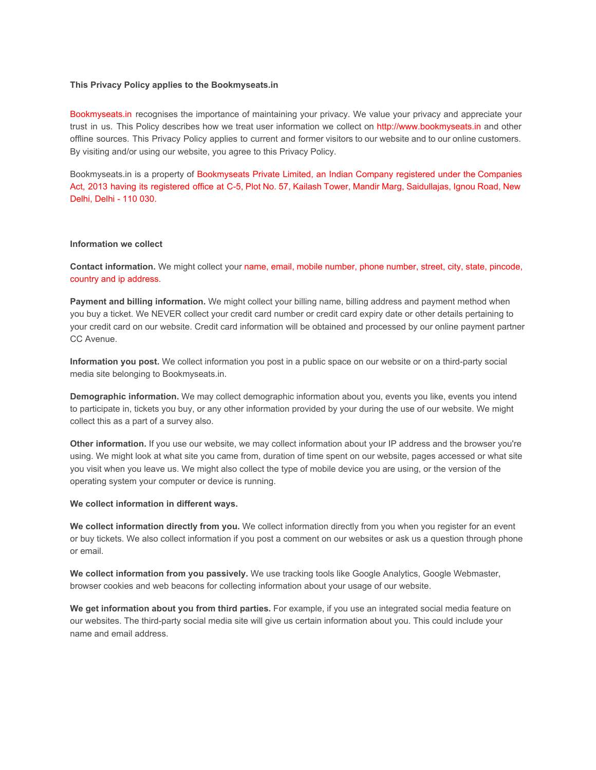# **This Privacy Policy applies to the Bookmyseats.in**

Bookmyseats.in recognises the importance of maintaining your privacy. We value your privacy and appreciate your trust in us. This Policy describes how we treat user information we collect on http://www.bookmyseats.in and other offline sources. This Privacy Policy applies to current and former visitors to our website and to our online customers. By visiting and/or using our website, you agree to this Privacy Policy.

Bookmyseats.in is a property of Bookmyseats Private Limited, an Indian Company registered under the Companies Act, 2013 having its registered office at C-5, Plot No. 57, Kailash Tower, Mandir Marg, Saidullajas, Ignou Road, New Delhi, Delhi - 110 030.

#### **Information we collect**

**Contact information.**We might collect your name, email, mobile number, phone number, street, city, state, pincode, country and ip address.

**Payment and billing information.**We might collect your billing name, billing address and payment method when you buy a ticket. We NEVER collect your credit card number or credit card expiry date or other details pertaining to your credit card on our website. Credit card information will be obtained and processed by our online payment partner CC Avenue.

**Information you post.** We collect information you post in a public space on our website or on a third-party social media site belonging to Bookmyseats.in.

**Demographic information.**We may collect demographic information about you, events you like, events you intend to participate in, tickets you buy, or any other information provided by your during the use of our website. We might collect this as a part of a survey also.

**Other information.**If you use our website, we may collect information about your IP address and the browser you're using. We might look at what site you came from, duration of time spent on our website, pages accessed or what site you visit when you leave us. We might also collect the type of mobile device you are using, or the version of the operating system your computer or device is running.

### **We collect information in different ways.**

**We collect information directly from you.**We collect information directly from you when you register for an event or buy tickets. We also collect information if you post a comment on our websites or ask us a question through phone or email.

**We collect information from you passively.**We use tracking tools like Google Analytics, Google Webmaster, browser cookies and web beacons for collecting information about your usage of our website.

**We get information about you from third parties.**For example, if you use an integrated social media feature on our websites. The third-party social media site will give us certain information about you. This could include your name and email address.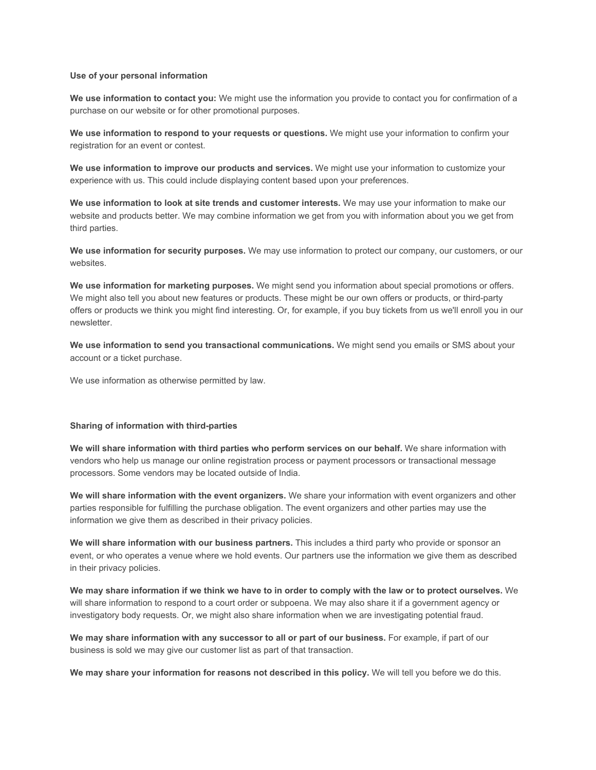#### **Use of your personal information**

**We use information to contact you:** We might use the information you provide to contact you for confirmation of a purchase on our website or for other promotional purposes.

**We use information to respond to your requests or questions.**We might use your information to confirm your registration for an event or contest.

**We use information to improve our products and services.**We might use your information to customize your experience with us. This could include displaying content based upon your preferences.

**We use information to look at site trends and customer interests.**We may use your information to make our website and products better. We may combine information we get from you with information about you we get from third parties.

**We use information for security purposes.**We may use information to protect our company, our customers, or our websites.

**We use information for marketing purposes.**We might send you information about special promotions or offers. We might also tell you about new features or products. These might be our own offers or products, or third-party offers or products we think you might find interesting. Or, for example, if you buy tickets from us we'll enroll you in our newsletter.

**We use information to send you transactional communications.**We might send you emails or SMS about your account or a ticket purchase.

We use information as otherwise permitted by law.

### **Sharing of information with third-parties**

**We will share information with third parties who perform services on our behalf.** We share information with vendors who help us manage our online registration process or payment processors or transactional message processors. Some vendors may be located outside of India.

**We will share information with the event organizers.**We share your information with event organizers and other parties responsible for fulfilling the purchase obligation. The event organizers and other parties may use the information we give them as described in their privacy policies.

**We will share information with our business partners.**This includes a third party who provide or sponsor an event, or who operates a venue where we hold events. Our partners use the information we give them as described in their privacy policies.

We may share information if we think we have to in order to comply with the law or to protect ourselves. We will share information to respond to a court order or subpoena. We may also share it if a government agency or investigatory body requests. Or, we might also share information when we are investigating potential fraud.

**We may share information with any successor to all or part of our business.**For example, if part of our business is sold we may give our customer list as part of that transaction.

**We may share your information for reasons not described in this policy.**We will tell you before we do this.